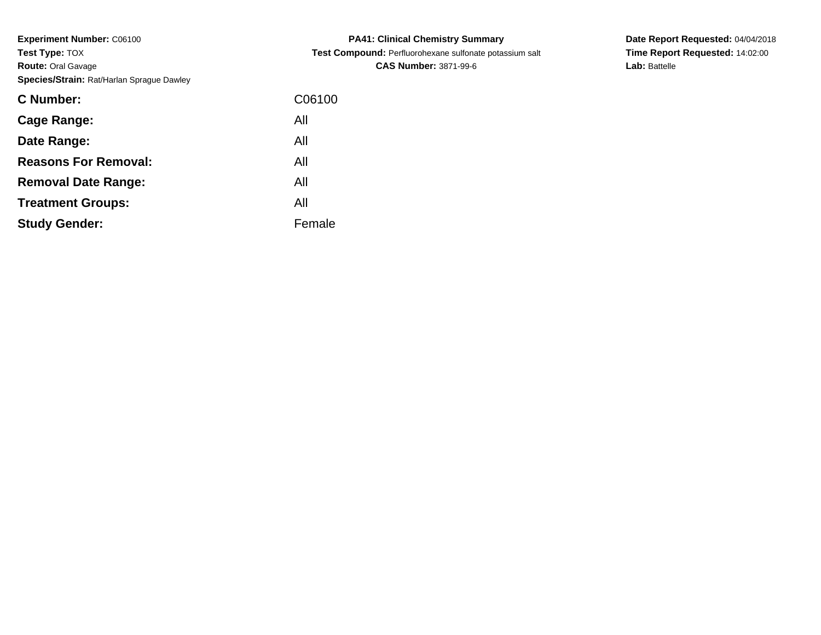| <b>C</b> Number:            | C06100 |
|-----------------------------|--------|
| Cage Range:                 | All    |
| Date Range:                 | All    |
| <b>Reasons For Removal:</b> | All    |
| <b>Removal Date Range:</b>  | All    |
| <b>Treatment Groups:</b>    | All    |
| <b>Study Gender:</b>        | Female |

**PA41: Clinical Chemistry Summary Test Compound:** Perfluorohexane sulfonate potassium salt**CAS Number:** 3871-99-6

**Date Report Requested:** 04/04/2018**Time Report Requested:** 14:02:00**Lab:** Battelle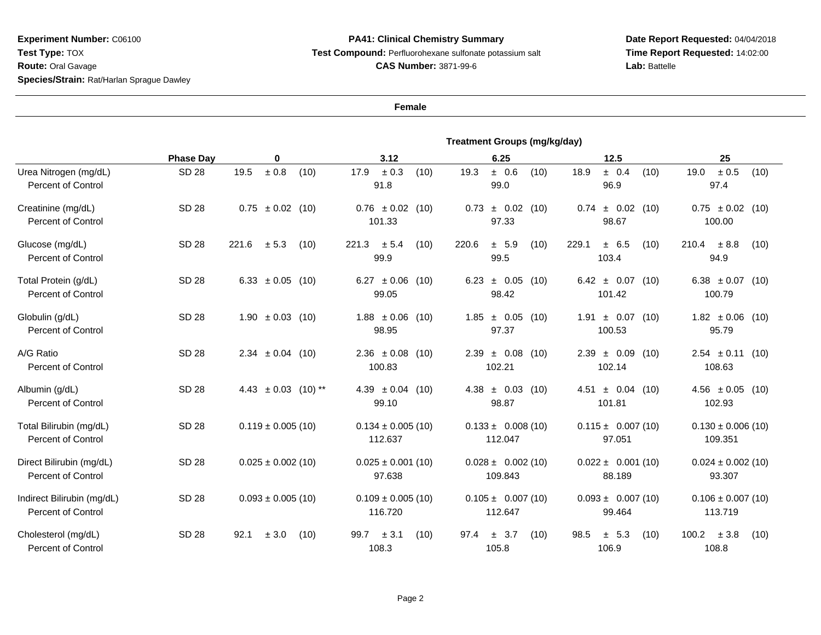## **PA41: Clinical Chemistry Summary Test Compound:** Perfluorohexane sulfonate potassium salt**CAS Number:** 3871-99-6

**Date Report Requested:** 04/04/2018**Time Report Requested:** 14:02:00Lab: Battelle

|                                                         | <b>Treatment Groups (mg/kg/day)</b> |                           |                                    |                                       |                                   |                                   |  |  |  |  |
|---------------------------------------------------------|-------------------------------------|---------------------------|------------------------------------|---------------------------------------|-----------------------------------|-----------------------------------|--|--|--|--|
|                                                         | <b>Phase Day</b>                    | 0                         | 3.12                               | 6.25                                  | 12.5                              | 25                                |  |  |  |  |
| Urea Nitrogen (mg/dL)<br><b>Percent of Control</b>      | <b>SD 28</b>                        | $\pm$ 0.8<br>19.5<br>(10) | 17.9<br>$\pm$ 0.3<br>(10)<br>91.8  | ± 0.6<br>19.3<br>(10)<br>99.0         | ± 0.4<br>18.9<br>(10)<br>96.9     | $\pm$ 0.5<br>19.0<br>(10)<br>97.4 |  |  |  |  |
| Creatinine (mg/dL)<br><b>Percent of Control</b>         | <b>SD 28</b>                        | $0.75 \pm 0.02$ (10)      | $0.76 \pm 0.02$<br>(10)<br>101.33  | ± 0.02<br>0.73<br>(10)<br>97.33       | ± 0.02<br>(10)<br>0.74<br>98.67   | $0.75 \pm 0.02$ (10)<br>100.00    |  |  |  |  |
| Glucose (mg/dL)<br><b>Percent of Control</b>            | <b>SD 28</b>                        | 221.6<br>± 5.3<br>(10)    | $\pm$ 5.4<br>(10)<br>221.3<br>99.9 | 220.6<br>± 5.9<br>(10)<br>99.5        | 229.1<br>± 6.5<br>(10)<br>103.4   | 210.4<br>± 8.8<br>(10)<br>94.9    |  |  |  |  |
| Total Protein (g/dL)<br><b>Percent of Control</b>       | <b>SD 28</b>                        | 6.33 $\pm$ 0.05 (10)      | $6.27 \pm 0.06$<br>(10)<br>99.05   | $6.23 \pm 0.05$<br>(10)<br>98.42      | $6.42 \pm 0.07$ (10)<br>101.42    | 6.38 $\pm 0.07$ (10)<br>100.79    |  |  |  |  |
| Globulin (g/dL)<br><b>Percent of Control</b>            | <b>SD 28</b>                        | $1.90 \pm 0.03$ (10)      | $1.88 \pm 0.06$<br>(10)<br>98.95   | $1.85 \pm 0.05$<br>(10)<br>97.37      | $1.91 \pm 0.07$ (10)<br>100.53    | $1.82 \pm 0.06$ (10)<br>95.79     |  |  |  |  |
| A/G Ratio<br><b>Percent of Control</b>                  | <b>SD 28</b>                        | $2.34 \pm 0.04$ (10)      | $2.36 \pm 0.08$<br>(10)<br>100.83  | $2.39 \pm 0.08$<br>(10)<br>102.21     | $2.39 \pm 0.09$<br>(10)<br>102.14 | $2.54 \pm 0.11$<br>(10)<br>108.63 |  |  |  |  |
| Albumin (g/dL)<br><b>Percent of Control</b>             | <b>SD 28</b>                        | 4.43 $\pm$ 0.03 (10) **   | $4.39 \pm 0.04$<br>(10)<br>99.10   | $4.38 \pm 0.03$<br>(10)<br>98.87      | 4.51 $\pm$ 0.04 (10)<br>101.81    | $4.56 \pm 0.05$ (10)<br>102.93    |  |  |  |  |
| Total Bilirubin (mg/dL)<br><b>Percent of Control</b>    | <b>SD 28</b>                        | $0.119 \pm 0.005$ (10)    | $0.134 \pm 0.005$ (10)<br>112.637  | $0.133 \pm 0.008(10)$<br>112.047      | $0.115 \pm 0.007(10)$<br>97.051   | $0.130 \pm 0.006$ (10)<br>109.351 |  |  |  |  |
| Direct Bilirubin (mg/dL)<br><b>Percent of Control</b>   | <b>SD 28</b>                        | $0.025 \pm 0.002$ (10)    | $0.025 \pm 0.001$ (10)<br>97.638   | $0.028 \pm 0.002(10)$<br>109.843      | $0.022 \pm 0.001(10)$<br>88.189   | $0.024 \pm 0.002$ (10)<br>93.307  |  |  |  |  |
| Indirect Bilirubin (mg/dL)<br><b>Percent of Control</b> | <b>SD 28</b>                        | $0.093 \pm 0.005$ (10)    | $0.109 \pm 0.005$ (10)<br>116.720  | $0.105 \pm 0.007(10)$<br>112.647      | $0.093 \pm 0.007(10)$<br>99.464   | $0.106 \pm 0.007$ (10)<br>113.719 |  |  |  |  |
| Cholesterol (mg/dL)<br><b>Percent of Control</b>        | <b>SD 28</b>                        | ± 3.0<br>92.1<br>(10)     | ± 3.1<br>99.7<br>(10)<br>108.3     | 3.7<br>97.4<br>(10)<br>$\pm$<br>105.8 | ± 5.3<br>98.5<br>(10)<br>106.9    | 100.2<br>± 3.8<br>(10)<br>108.8   |  |  |  |  |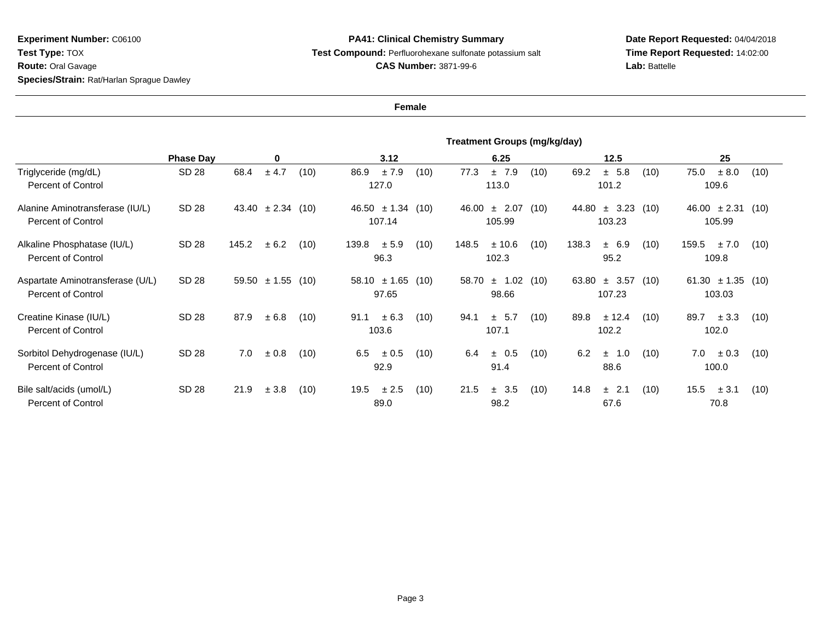## **PA41: Clinical Chemistry Summary Test Compound:** Perfluorohexane sulfonate potassium salt**CAS Number:** 3871-99-6

**Date Report Requested:** 04/04/2018**Time Report Requested:** 14:02:00**Lab:** Battelle

|                                                               | <b>Treatment Groups (mg/kg/day)</b> |       |                       |      |                               |                                 |                               |       |                  |                                |       |                           |                                |       |                                 |      |
|---------------------------------------------------------------|-------------------------------------|-------|-----------------------|------|-------------------------------|---------------------------------|-------------------------------|-------|------------------|--------------------------------|-------|---------------------------|--------------------------------|-------|---------------------------------|------|
|                                                               | <b>Phase Day</b>                    | 0     |                       |      | 3.12                          |                                 |                               | 6.25  |                  |                                | 12.5  |                           |                                | 25    |                                 |      |
| Triglyceride (mg/dL)<br><b>Percent of Control</b>             | SD 28                               | 68.4  | ± 4.7                 | (10) | ±7.9<br>86.9<br>(10)<br>127.0 |                                 | 77.3<br>±7.9<br>(10)<br>113.0 |       |                  | ± 5.8<br>69.2<br>(10)<br>101.2 |       |                           | 75.0<br>± 8.0<br>(10)<br>109.6 |       |                                 |      |
| Alanine Aminotransferase (IU/L)<br><b>Percent of Control</b>  | SD 28                               |       | $43.40 \pm 2.34$ (10) |      |                               | $46.50 \pm 1.34$ (10)<br>107.14 |                               | 46.00 | ± 2.07<br>105.99 | (10)                           | 44.80 | $\pm$ 3.23 (10)<br>103.23 |                                |       | $46.00 \pm 2.31$<br>105.99      | (10) |
| Alkaline Phosphatase (IU/L)<br><b>Percent of Control</b>      | SD 28                               | 145.2 | ± 6.2                 | (10) | 139.8                         | ± 5.9<br>96.3                   | (10)                          | 148.5 | ± 10.6<br>102.3  | (10)                           | 138.3 | ± 6.9<br>95.2             | (10)                           | 159.5 | ± 7.0<br>109.8                  | (10) |
| Aspartate Aminotransferase (U/L)<br><b>Percent of Control</b> | SD 28                               | 59.50 | $\pm 1.55$ (10)       |      |                               | $58.10 \pm 1.65$<br>97.65       | (10)                          | 58.70 | ± 1.02<br>98.66  | (10)                           | 63.80 | ± 3.57<br>107.23          | (10)                           |       | $61.30 \pm 1.35$ (10)<br>103.03 |      |
| Creatine Kinase (IU/L)<br><b>Percent of Control</b>           | SD 28                               | 87.9  | ± 6.8                 | (10) | 91.1                          | ± 6.3<br>103.6                  | (10)                          | 94.1  | ± 5.7<br>107.1   | (10)                           | 89.8  | ± 12.4<br>102.2           | (10)                           | 89.7  | ± 3.3<br>102.0                  | (10) |
| Sorbitol Dehydrogenase (IU/L)<br><b>Percent of Control</b>    | SD 28                               | 7.0   | ± 0.8                 | (10) | 6.5                           | ± 0.5<br>92.9                   | (10)                          | 6.4   | ± 0.5<br>91.4    | (10)                           | 6.2   | 1.0<br>$\pm$<br>88.6      | (10)                           | 7.0   | $\pm 0.3$<br>100.0              | (10) |
| Bile salt/acids (umol/L)<br><b>Percent of Control</b>         | SD 28                               | 21.9  | ± 3.8                 | (10) | 19.5                          | ± 2.5<br>89.0                   | (10)                          | 21.5  | ± 3.5<br>98.2    | (10)                           | 14.8  | ± 2.1<br>67.6             | (10)                           | 15.5  | $\pm$ 3.1<br>70.8               | (10) |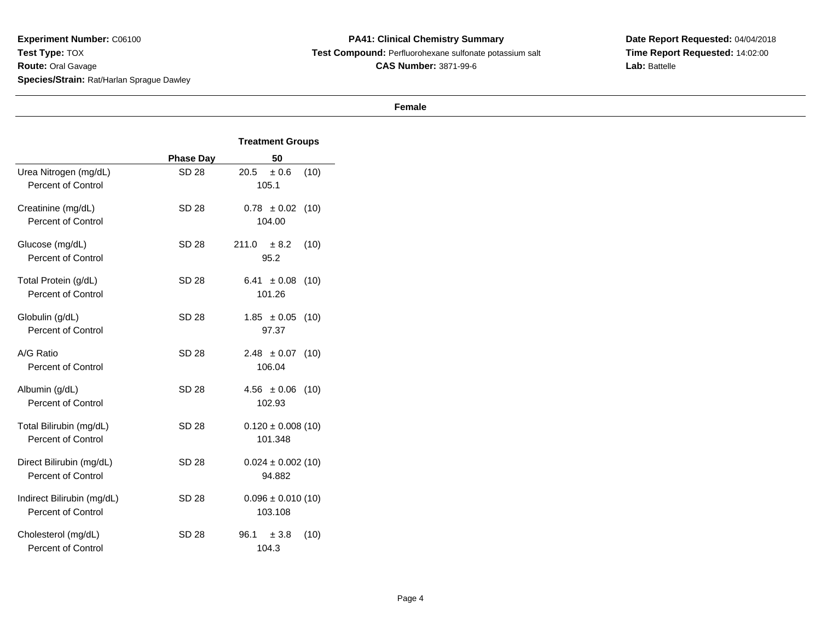**PA41: Clinical Chemistry Summary Test Compound:** Perfluorohexane sulfonate potassium salt**CAS Number:** 3871-99-6

**Date Report Requested:** 04/04/2018**Time Report Requested:** 14:02:00**Lab:** Battelle

|                                                         |                  | <b>Treatment Groups</b>           |  |  |  |  |
|---------------------------------------------------------|------------------|-----------------------------------|--|--|--|--|
|                                                         | <b>Phase Day</b> | 50                                |  |  |  |  |
| Urea Nitrogen (mg/dL)<br><b>Percent of Control</b>      | SD 28            | 20.5<br>± 0.6<br>(10)<br>105.1    |  |  |  |  |
| Creatinine (mg/dL)<br><b>Percent of Control</b>         | SD 28            | $0.78 \pm 0.02$<br>(10)<br>104.00 |  |  |  |  |
| Glucose (mg/dL)<br><b>Percent of Control</b>            | SD 28            | 211.0<br>± 8.2<br>(10)<br>95.2    |  |  |  |  |
| Total Protein (g/dL)<br><b>Percent of Control</b>       | SD 28            | $6.41 \pm 0.08$<br>(10)<br>101.26 |  |  |  |  |
| Globulin (g/dL)<br><b>Percent of Control</b>            | <b>SD 28</b>     | $1.85 \pm 0.05$<br>(10)<br>97.37  |  |  |  |  |
| A/G Ratio<br><b>Percent of Control</b>                  | SD 28            | $2.48 \pm 0.07$<br>(10)<br>106.04 |  |  |  |  |
| Albumin (g/dL)<br><b>Percent of Control</b>             | <b>SD 28</b>     | $4.56 \pm 0.06$<br>(10)<br>102.93 |  |  |  |  |
| Total Bilirubin (mg/dL)<br><b>Percent of Control</b>    | <b>SD 28</b>     | $0.120 \pm 0.008(10)$<br>101.348  |  |  |  |  |
| Direct Bilirubin (mg/dL)<br><b>Percent of Control</b>   | <b>SD 28</b>     | $0.024 \pm 0.002$ (10)<br>94.882  |  |  |  |  |
| Indirect Bilirubin (mg/dL)<br><b>Percent of Control</b> | SD 28            | $0.096 \pm 0.010(10)$<br>103.108  |  |  |  |  |
| Cholesterol (mg/dL)<br>Percent of Control               | SD 28            | 96.1<br>(10)<br>± 3.8<br>104.3    |  |  |  |  |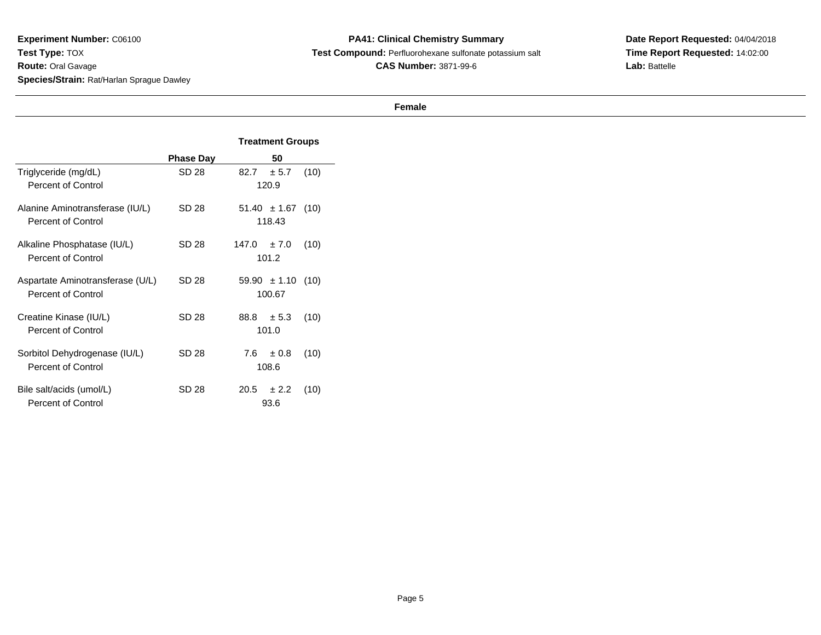**PA41: Clinical Chemistry Summary Test Compound:** Perfluorohexane sulfonate potassium salt**CAS Number:** 3871-99-6

**Date Report Requested:** 04/04/2018 **Time Report Requested:** 14:02:00**Lab:** Battelle

|                                                               |                  | <b>Treatment Groups</b>            |  |  |  |  |  |
|---------------------------------------------------------------|------------------|------------------------------------|--|--|--|--|--|
|                                                               | <b>Phase Day</b> | 50                                 |  |  |  |  |  |
| Triglyceride (mg/dL)<br><b>Percent of Control</b>             | SD 28            | 82.7<br>± 5.7<br>(10)<br>120.9     |  |  |  |  |  |
| Alanine Aminotransferase (IU/L)<br><b>Percent of Control</b>  | SD 28            | $51.40 \pm 1.67$ (10)<br>118.43    |  |  |  |  |  |
| Alkaline Phosphatase (IU/L)<br><b>Percent of Control</b>      | SD 28            | $147.0 \pm 7.0$<br>(10)<br>101.2   |  |  |  |  |  |
| Aspartate Aminotransferase (U/L)<br><b>Percent of Control</b> | SD 28            | $59.90 \pm 1.10$<br>(10)<br>100.67 |  |  |  |  |  |
| Creatine Kinase (IU/L)<br><b>Percent of Control</b>           | SD 28            | $88.8 \pm 5.3$<br>(10)<br>101.0    |  |  |  |  |  |
| Sorbitol Dehydrogenase (IU/L)<br><b>Percent of Control</b>    | SD 28            | 7.6<br>± 0.8<br>(10)<br>108.6      |  |  |  |  |  |
| Bile salt/acids (umol/L)<br><b>Percent of Control</b>         | SD 28            | 20.5<br>± 2.2<br>(10)<br>93.6      |  |  |  |  |  |